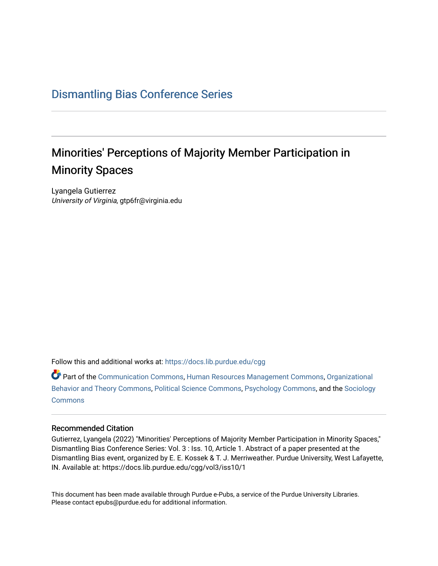## [Dismantling Bias Conference Series](https://docs.lib.purdue.edu/cgg)

## Minorities' Perceptions of Majority Member Participation in Minority Spaces

Lyangela Gutierrez University of Virginia, gtp6fr@virginia.edu

Follow this and additional works at: [https://docs.lib.purdue.edu/cgg](https://docs.lib.purdue.edu/cgg?utm_source=docs.lib.purdue.edu%2Fcgg%2Fvol3%2Fiss10%2F1&utm_medium=PDF&utm_campaign=PDFCoverPages)

Part of the [Communication Commons,](https://network.bepress.com/hgg/discipline/325?utm_source=docs.lib.purdue.edu%2Fcgg%2Fvol3%2Fiss10%2F1&utm_medium=PDF&utm_campaign=PDFCoverPages) [Human Resources Management Commons,](https://network.bepress.com/hgg/discipline/633?utm_source=docs.lib.purdue.edu%2Fcgg%2Fvol3%2Fiss10%2F1&utm_medium=PDF&utm_campaign=PDFCoverPages) [Organizational](https://network.bepress.com/hgg/discipline/639?utm_source=docs.lib.purdue.edu%2Fcgg%2Fvol3%2Fiss10%2F1&utm_medium=PDF&utm_campaign=PDFCoverPages) [Behavior and Theory Commons,](https://network.bepress.com/hgg/discipline/639?utm_source=docs.lib.purdue.edu%2Fcgg%2Fvol3%2Fiss10%2F1&utm_medium=PDF&utm_campaign=PDFCoverPages) [Political Science Commons,](https://network.bepress.com/hgg/discipline/386?utm_source=docs.lib.purdue.edu%2Fcgg%2Fvol3%2Fiss10%2F1&utm_medium=PDF&utm_campaign=PDFCoverPages) [Psychology Commons,](https://network.bepress.com/hgg/discipline/404?utm_source=docs.lib.purdue.edu%2Fcgg%2Fvol3%2Fiss10%2F1&utm_medium=PDF&utm_campaign=PDFCoverPages) and the [Sociology](https://network.bepress.com/hgg/discipline/416?utm_source=docs.lib.purdue.edu%2Fcgg%2Fvol3%2Fiss10%2F1&utm_medium=PDF&utm_campaign=PDFCoverPages) [Commons](https://network.bepress.com/hgg/discipline/416?utm_source=docs.lib.purdue.edu%2Fcgg%2Fvol3%2Fiss10%2F1&utm_medium=PDF&utm_campaign=PDFCoverPages)

## Recommended Citation

Gutierrez, Lyangela (2022) "Minorities' Perceptions of Majority Member Participation in Minority Spaces," Dismantling Bias Conference Series: Vol. 3 : Iss. 10, Article 1. Abstract of a paper presented at the Dismantling Bias event, organized by E. E. Kossek & T. J. Merriweather. Purdue University, West Lafayette, IN. Available at: https://docs.lib.purdue.edu/cgg/vol3/iss10/1

This document has been made available through Purdue e-Pubs, a service of the Purdue University Libraries. Please contact epubs@purdue.edu for additional information.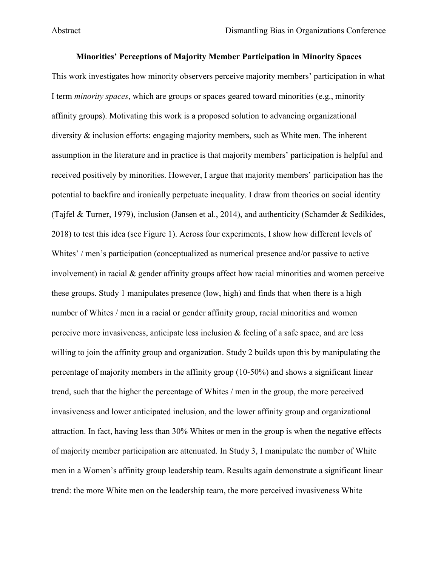Abstract

## **Minorities' Perceptions of Majority Member Participation in Minority Spaces**

 I term *minority spaces*, which are groups or spaces geared toward minorities (e.g., minority (Tajfel & Turner, 1979), inclusion (Jansen et al., 2014), and authenticity (Schamder & Sedikides, 2018) to test this idea (see Figure 1). Across four experiments, I show how different levels of involvement) in racial & gender affinity groups affect how racial minorities and women perceive perceive more invasiveness, anticipate less inclusion & feeling of a safe space, and are less willing to join the affinity group and organization. Study 2 builds upon this by manipulating the percentage of majority members in the affinity group (10-50%) and shows a significant linear attraction. In fact, having less than 30% Whites or men in the group is when the negative effects of majority member participation are attenuated. In Study 3, I manipulate the number of White This work investigates how minority observers perceive majority members' participation in what affinity groups). Motivating this work is a proposed solution to advancing organizational diversity  $\&$  inclusion efforts: engaging majority members, such as White men. The inherent assumption in the literature and in practice is that majority members' participation is helpful and received positively by minorities. However, I argue that majority members' participation has the potential to backfire and ironically perpetuate inequality. I draw from theories on social identity Whites' / men's participation (conceptualized as numerical presence and/or passive to active these groups. Study 1 manipulates presence (low, high) and finds that when there is a high number of Whites / men in a racial or gender affinity group, racial minorities and women trend, such that the higher the percentage of Whites / men in the group, the more perceived invasiveness and lower anticipated inclusion, and the lower affinity group and organizational men in a Women's affinity group leadership team. Results again demonstrate a significant linear trend: the more White men on the leadership team, the more perceived invasiveness White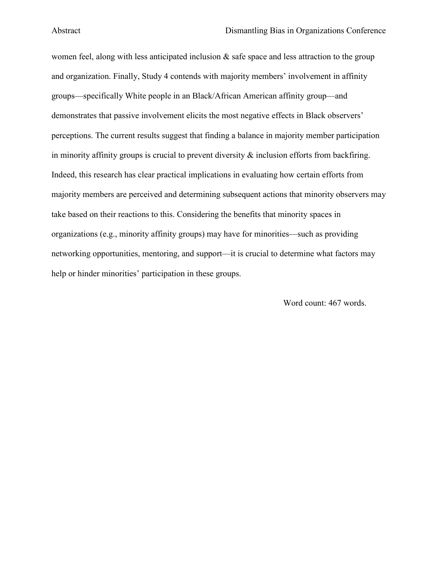demonstrates that passive involvement elicits the most negative effects in Black observers' in minority affinity groups is crucial to prevent diversity  $\&$  inclusion efforts from backfiring. organizations (e.g., minority affinity groups) may have for minorities—such as providing help or hinder minorities' participation in these groups. women feel, along with less anticipated inclusion  $\&$  safe space and less attraction to the group and organization. Finally, Study 4 contends with majority members' involvement in affinity groups—specifically White people in an Black/African American affinity group—and perceptions. The current results suggest that finding a balance in majority member participation Indeed, this research has clear practical implications in evaluating how certain efforts from majority members are perceived and determining subsequent actions that minority observers may take based on their reactions to this. Considering the benefits that minority spaces in networking opportunities, mentoring, and support—it is crucial to determine what factors may

Word count: 467 words.